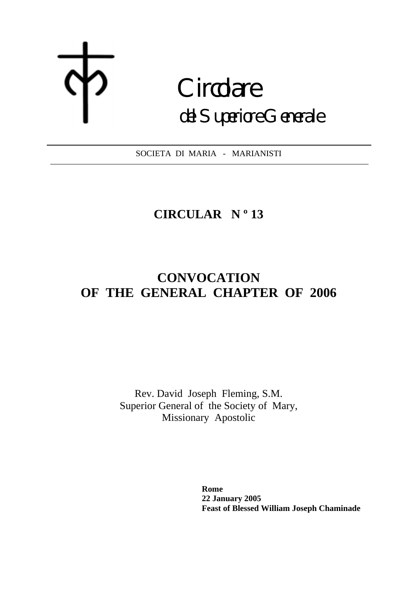# **Circolare** del Superiore Generale

SOCIETA DI MARIA - MARIANISTI

# **CIRCULAR N º 13**

## **CONVOCATION OF THE GENERAL CHAPTER OF 2006**

Rev. David Joseph Fleming, S.M. Superior General of the Society of Mary, Missionary Apostolic

> **Rome 22 January 2005 Feast of Blessed William Joseph Chaminade**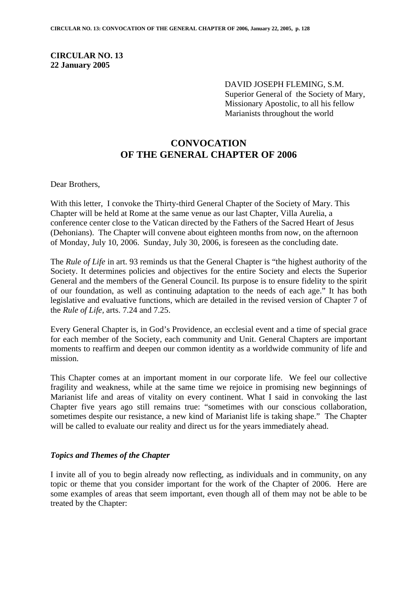#### **CIRCULAR NO. 13 22 January 2005**

DAVID JOSEPH FLEMING, S.M. Superior General of the Society of Mary, Missionary Apostolic, to all his fellow Marianists throughout the world

### **CONVOCATION OF THE GENERAL CHAPTER OF 2006**

Dear Brothers,

With this letter, I convoke the Thirty-third General Chapter of the Society of Mary. This Chapter will be held at Rome at the same venue as our last Chapter, Villa Aurelia, a conference center close to the Vatican directed by the Fathers of the Sacred Heart of Jesus (Dehonians). The Chapter will convene about eighteen months from now, on the afternoon of Monday, July 10, 2006. Sunday, July 30, 2006, is foreseen as the concluding date.

The *Rule of Life* in art. 93 reminds us that the General Chapter is "the highest authority of the Society. It determines policies and objectives for the entire Society and elects the Superior General and the members of the General Council. Its purpose is to ensure fidelity to the spirit of our foundation, as well as continuing adaptation to the needs of each age." It has both legislative and evaluative functions, which are detailed in the revised version of Chapter 7 of the *Rule of Life,* arts. 7.24 and 7.25.

Every General Chapter is, in God's Providence, an ecclesial event and a time of special grace for each member of the Society, each community and Unit. General Chapters are important moments to reaffirm and deepen our common identity as a worldwide community of life and mission.

This Chapter comes at an important moment in our corporate life. We feel our collective fragility and weakness, while at the same time we rejoice in promising new beginnings of Marianist life and areas of vitality on every continent. What I said in convoking the last Chapter five years ago still remains true: "sometimes with our conscious collaboration, sometimes despite our resistance, a new kind of Marianist life is taking shape." The Chapter will be called to evaluate our reality and direct us for the years immediately ahead.

#### *Topics and Themes of the Chapter*

I invite all of you to begin already now reflecting, as individuals and in community, on any topic or theme that you consider important for the work of the Chapter of 2006. Here are some examples of areas that seem important, even though all of them may not be able to be treated by the Chapter: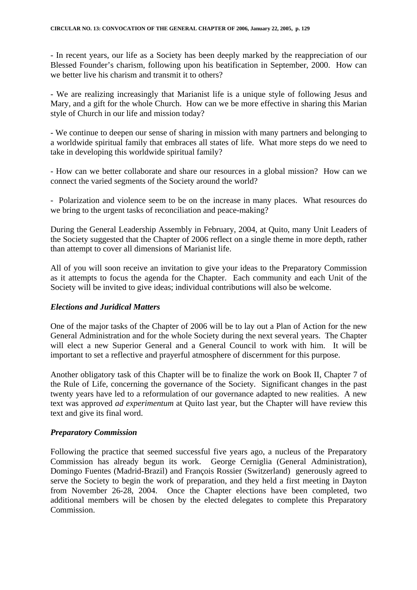- In recent years, our life as a Society has been deeply marked by the reappreciation of our Blessed Founder's charism, following upon his beatification in September, 2000. How can we better live his charism and transmit it to others?

- We are realizing increasingly that Marianist life is a unique style of following Jesus and Mary, and a gift for the whole Church. How can we be more effective in sharing this Marian style of Church in our life and mission today?

- We continue to deepen our sense of sharing in mission with many partners and belonging to a worldwide spiritual family that embraces all states of life. What more steps do we need to take in developing this worldwide spiritual family?

- How can we better collaborate and share our resources in a global mission? How can we connect the varied segments of the Society around the world?

- Polarization and violence seem to be on the increase in many places. What resources do we bring to the urgent tasks of reconciliation and peace-making?

During the General Leadership Assembly in February, 2004, at Quito, many Unit Leaders of the Society suggested that the Chapter of 2006 reflect on a single theme in more depth, rather than attempt to cover all dimensions of Marianist life.

All of you will soon receive an invitation to give your ideas to the Preparatory Commission as it attempts to focus the agenda for the Chapter. Each community and each Unit of the Society will be invited to give ideas; individual contributions will also be welcome.

#### *Elections and Juridical Matters*

One of the major tasks of the Chapter of 2006 will be to lay out a Plan of Action for the new General Administration and for the whole Society during the next several years. The Chapter will elect a new Superior General and a General Council to work with him. It will be important to set a reflective and prayerful atmosphere of discernment for this purpose.

Another obligatory task of this Chapter will be to finalize the work on Book II, Chapter 7 of the Rule of Life, concerning the governance of the Society. Significant changes in the past twenty years have led to a reformulation of our governance adapted to new realities. A new text was approved *ad experimentum* at Quito last year, but the Chapter will have review this text and give its final word.

#### *Preparatory Commission*

Following the practice that seemed successful five years ago, a nucleus of the Preparatory Commission has already begun its work. George Cerniglia (General Administration), Domingo Fuentes (Madrid-Brazil) and François Rossier (Switzerland) generously agreed to serve the Society to begin the work of preparation, and they held a first meeting in Dayton from November 26-28, 2004. Once the Chapter elections have been completed, two additional members will be chosen by the elected delegates to complete this Preparatory Commission.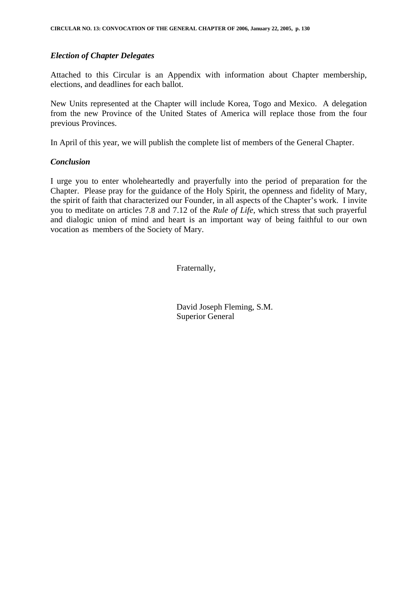#### *Election of Chapter Delegates*

Attached to this Circular is an Appendix with information about Chapter membership, elections, and deadlines for each ballot.

New Units represented at the Chapter will include Korea, Togo and Mexico. A delegation from the new Province of the United States of America will replace those from the four previous Provinces.

In April of this year, we will publish the complete list of members of the General Chapter.

#### *Conclusion*

I urge you to enter wholeheartedly and prayerfully into the period of preparation for the Chapter. Please pray for the guidance of the Holy Spirit, the openness and fidelity of Mary, the spirit of faith that characterized our Founder, in all aspects of the Chapter's work. I invite you to meditate on articles 7.8 and 7.12 of the *Rule of Life*, which stress that such prayerful and dialogic union of mind and heart is an important way of being faithful to our own vocation as members of the Society of Mary.

Fraternally,

 David Joseph Fleming, S.M. Superior General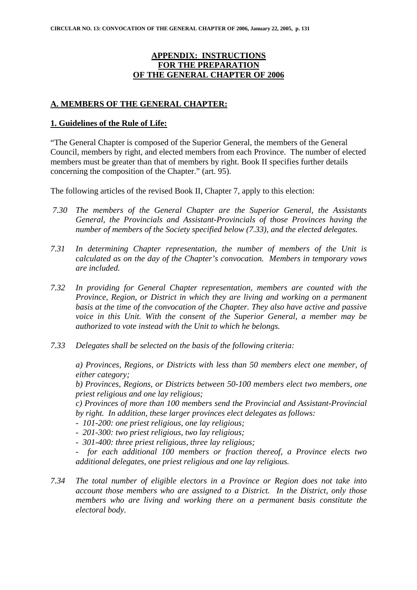#### **APPENDIX: INSTRUCTIONS FOR THE PREPARATION OF THE GENERAL CHAPTER OF 2006**

#### **A. MEMBERS OF THE GENERAL CHAPTER:**

#### **1. Guidelines of the Rule of Life:**

"The General Chapter is composed of the Superior General, the members of the General Council, members by right, and elected members from each Province. The number of elected members must be greater than that of members by right. Book II specifies further details concerning the composition of the Chapter." (art. 95).

The following articles of the revised Book II, Chapter 7, apply to this election:

- *7.30 The members of the General Chapter are the Superior General, the Assistants General, the Provincials and Assistant-Provincials of those Provinces having the number of members of the Society specified below (7.33), and the elected delegates.*
- *7.31 In determining Chapter representation, the number of members of the Unit is calculated as on the day of the Chapter's convocation. Members in temporary vows are included.*
- *7.32 In providing for General Chapter representation, members are counted with the Province, Region, or District in which they are living and working on a permanent basis at the time of the convocation of the Chapter. They also have active and passive voice in this Unit. With the consent of the Superior General, a member may be authorized to vote instead with the Unit to which he belongs.*
- *7.33 Delegates shall be selected on the basis of the following criteria:*

*a) Provinces, Regions, or Districts with less than 50 members elect one member, of either category;* 

*b) Provinces, Regions, or Districts between 50-100 members elect two members, one priest religious and one lay religious;* 

*c) Provinces of more than 100 members send the Provincial and Assistant-Provincial by right. In addition, these larger provinces elect delegates as follows:* 

- *101-200: one priest religious, one lay religious;*
- *201-300: two priest religious, two lay religious;*
- *301-400: three priest religious, three lay religious;*

*- for each additional 100 members or fraction thereof, a Province elects two additional delegates, one priest religious and one lay religious.* 

*7.34 The total number of eligible electors in a Province or Region does not take into account those members who are assigned to a District. In the District, only those members who are living and working there on a permanent basis constitute the electoral body.*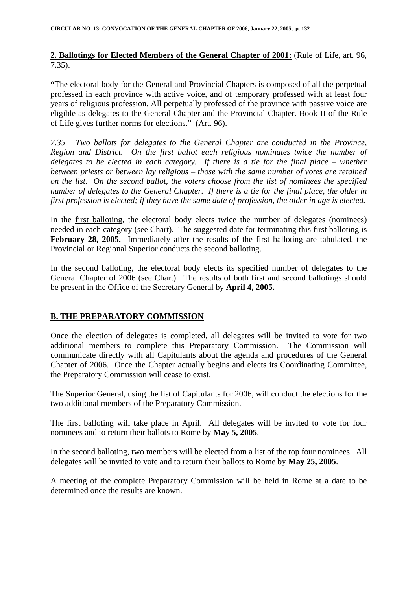**2. Ballotings for Elected Members of the General Chapter of 2001:** (Rule of Life, art. 96, 7.35).

**"**The electoral body for the General and Provincial Chapters is composed of all the perpetual professed in each province with active voice, and of temporary professed with at least four years of religious profession. All perpetually professed of the province with passive voice are eligible as delegates to the General Chapter and the Provincial Chapter. Book II of the Rule of Life gives further norms for elections." (Art. 96).

*7.35 Two ballots for delegates to the General Chapter are conducted in the Province, Region and District. On the first ballot each religious nominates twice the number of delegates to be elected in each category. If there is a tie for the final place – whether between priests or between lay religious – those with the same number of votes are retained on the list. On the second ballot, the voters choose from the list of nominees the specified number of delegates to the General Chapter. If there is a tie for the final place, the older in first profession is elected; if they have the same date of profession, the older in age is elected.* 

In the first balloting, the electoral body elects twice the number of delegates (nominees) needed in each category (see Chart). The suggested date for terminating this first balloting is **February 28, 2005.** Immediately after the results of the first balloting are tabulated, the Provincial or Regional Superior conducts the second balloting.

In the second balloting, the electoral body elects its specified number of delegates to the General Chapter of 2006 (see Chart). The results of both first and second ballotings should be present in the Office of the Secretary General by **April 4, 2005.** 

#### **B. THE PREPARATORY COMMISSION**

Once the election of delegates is completed, all delegates will be invited to vote for two additional members to complete this Preparatory Commission. The Commission will communicate directly with all Capitulants about the agenda and procedures of the General Chapter of 2006. Once the Chapter actually begins and elects its Coordinating Committee, the Preparatory Commission will cease to exist.

The Superior General, using the list of Capitulants for 2006, will conduct the elections for the two additional members of the Preparatory Commission.

The first balloting will take place in April. All delegates will be invited to vote for four nominees and to return their ballots to Rome by **May 5, 2005**.

In the second balloting, two members will be elected from a list of the top four nominees. All delegates will be invited to vote and to return their ballots to Rome by **May 25, 2005**.

A meeting of the complete Preparatory Commission will be held in Rome at a date to be determined once the results are known.